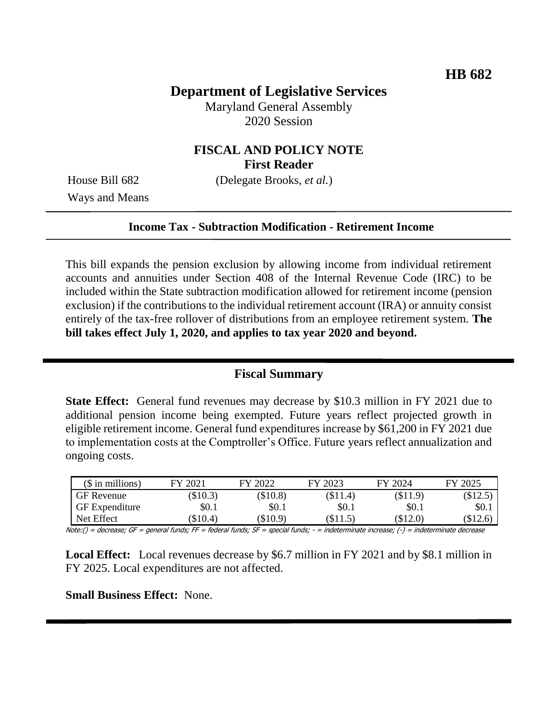# **Department of Legislative Services**

Maryland General Assembly 2020 Session

# **FISCAL AND POLICY NOTE First Reader**

Ways and Means

House Bill 682 (Delegate Brooks, *et al.*)

#### **Income Tax - Subtraction Modification - Retirement Income**

This bill expands the pension exclusion by allowing income from individual retirement accounts and annuities under Section 408 of the Internal Revenue Code (IRC) to be included within the State subtraction modification allowed for retirement income (pension exclusion) if the contributions to the individual retirement account (IRA) or annuity consist entirely of the tax-free rollover of distributions from an employee retirement system. **The bill takes effect July 1, 2020, and applies to tax year 2020 and beyond.** 

# **Fiscal Summary**

**State Effect:** General fund revenues may decrease by \$10.3 million in FY 2021 due to additional pension income being exempted. Future years reflect projected growth in eligible retirement income. General fund expenditures increase by \$61,200 in FY 2021 due to implementation costs at the Comptroller's Office. Future years reflect annualization and ongoing costs.

| $($$ in millions)     | FY 2021 | FY 2022    | FY 2023  | FY 2024    | FY 2025 |
|-----------------------|---------|------------|----------|------------|---------|
| <b>GF</b> Revenue     | \$10.3) | $(\$10.8)$ | \$11.4)  | $(\$11.9)$ | \$12.5  |
| <b>GF</b> Expenditure | \$0.1   | \$0.1      | \$0.1    | \$0.1      | \$0.1   |
| Net Effect            | \$10.4) | (\$10.9)   | (\$11.5) | (\$12.0)   | (\$12.6 |

Note:() = decrease; GF = general funds; FF = federal funds; SF = special funds; - = indeterminate increase; (-) = indeterminate decrease

**Local Effect:** Local revenues decrease by \$6.7 million in FY 2021 and by \$8.1 million in FY 2025. Local expenditures are not affected.

**Small Business Effect:** None.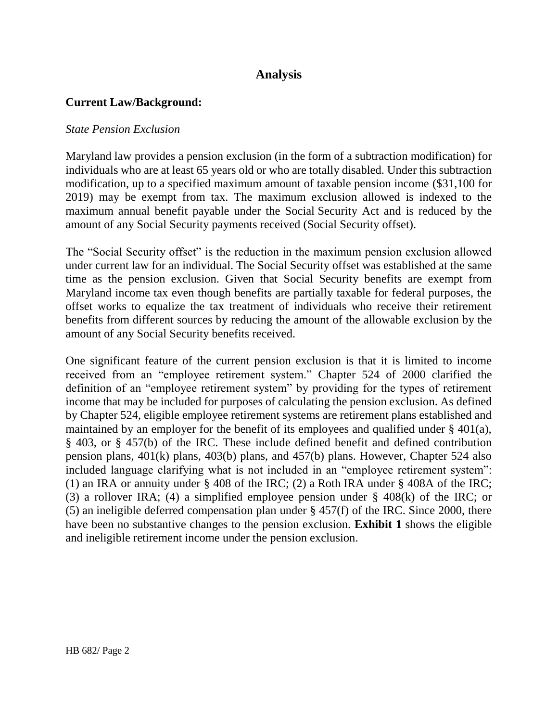# **Analysis**

## **Current Law/Background:**

### *State Pension Exclusion*

Maryland law provides a pension exclusion (in the form of a subtraction modification) for individuals who are at least 65 years old or who are totally disabled. Under this subtraction modification, up to a specified maximum amount of taxable pension income (\$31,100 for 2019) may be exempt from tax. The maximum exclusion allowed is indexed to the maximum annual benefit payable under the Social Security Act and is reduced by the amount of any Social Security payments received (Social Security offset).

The "Social Security offset" is the reduction in the maximum pension exclusion allowed under current law for an individual. The Social Security offset was established at the same time as the pension exclusion. Given that Social Security benefits are exempt from Maryland income tax even though benefits are partially taxable for federal purposes, the offset works to equalize the tax treatment of individuals who receive their retirement benefits from different sources by reducing the amount of the allowable exclusion by the amount of any Social Security benefits received.

One significant feature of the current pension exclusion is that it is limited to income received from an "employee retirement system." Chapter 524 of 2000 clarified the definition of an "employee retirement system" by providing for the types of retirement income that may be included for purposes of calculating the pension exclusion. As defined by Chapter 524, eligible employee retirement systems are retirement plans established and maintained by an employer for the benefit of its employees and qualified under § 401(a), § 403, or § 457(b) of the IRC. These include defined benefit and defined contribution pension plans, 401(k) plans, 403(b) plans, and 457(b) plans. However, Chapter 524 also included language clarifying what is not included in an "employee retirement system": (1) an IRA or annuity under § 408 of the IRC; (2) a Roth IRA under § 408A of the IRC; (3) a rollover IRA; (4) a simplified employee pension under § 408(k) of the IRC; or (5) an ineligible deferred compensation plan under § 457(f) of the IRC. Since 2000, there have been no substantive changes to the pension exclusion. **Exhibit 1** shows the eligible and ineligible retirement income under the pension exclusion.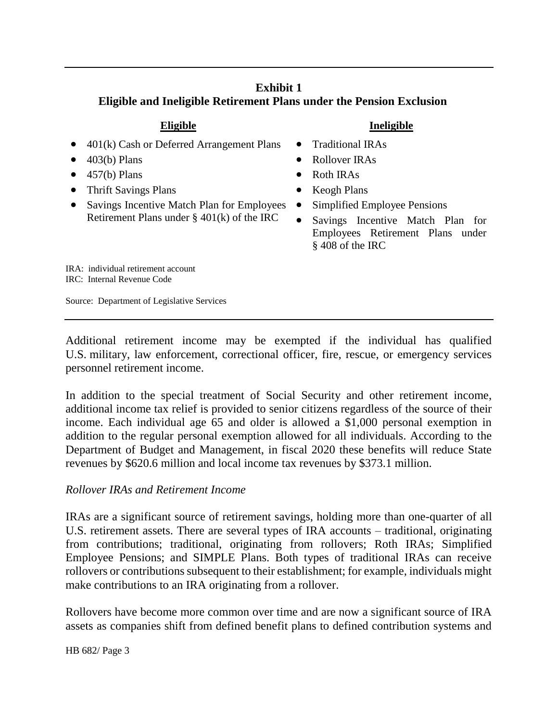# **Exhibit 1 Eligible and Ineligible Retirement Plans under the Pension Exclusion**

- $\bullet$  401(k) Cash or Deferred Arrangement Plans  $\bullet$  Traditional IRAs
- 
- $\bullet$  457(b) Plans  $\bullet$  Roth IRAs
- Thrift Savings Plans Keogh Plans
- Savings Incentive Match Plan for Employees Retirement Plans under § 401(k) of the IRC

## **Eligible Ineligible**

- 
- $\bullet$  403(b) Plans  $\bullet$  Rollover IRAs
	-
	-
	- Simplified Employee Pensions
	- Savings Incentive Match Plan for Employees Retirement Plans under § 408 of the IRC

IRA: individual retirement account IRC: Internal Revenue Code

Source: Department of Legislative Services

Additional retirement income may be exempted if the individual has qualified U.S. military, law enforcement, correctional officer, fire, rescue, or emergency services personnel retirement income.

In addition to the special treatment of Social Security and other retirement income, additional income tax relief is provided to senior citizens regardless of the source of their income. Each individual age 65 and older is allowed a \$1,000 personal exemption in addition to the regular personal exemption allowed for all individuals. According to the Department of Budget and Management, in fiscal 2020 these benefits will reduce State revenues by \$620.6 million and local income tax revenues by \$373.1 million.

## *Rollover IRAs and Retirement Income*

IRAs are a significant source of retirement savings, holding more than one-quarter of all U.S. retirement assets. There are several types of IRA accounts – traditional, originating from contributions; traditional, originating from rollovers; Roth IRAs; Simplified Employee Pensions; and SIMPLE Plans. Both types of traditional IRAs can receive rollovers or contributions subsequent to their establishment; for example, individuals might make contributions to an IRA originating from a rollover.

Rollovers have become more common over time and are now a significant source of IRA assets as companies shift from defined benefit plans to defined contribution systems and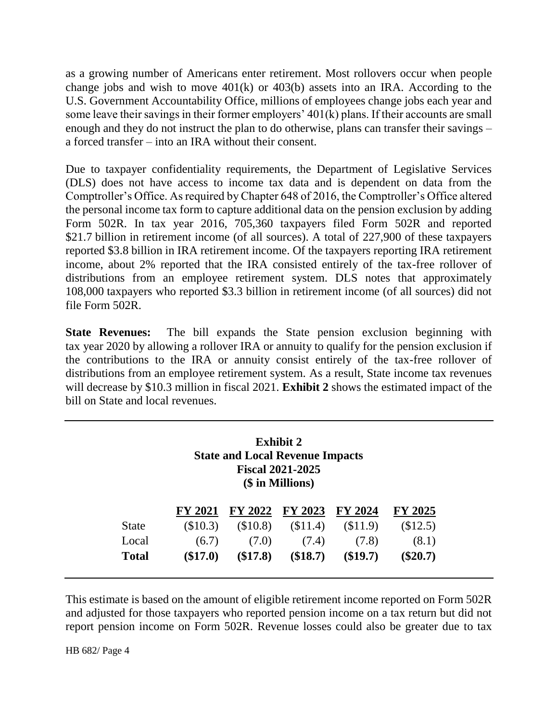as a growing number of Americans enter retirement. Most rollovers occur when people change jobs and wish to move 401(k) or 403(b) assets into an IRA. According to the U.S. Government Accountability Office, millions of employees change jobs each year and some leave their savings in their former employers' 401(k) plans. If their accounts are small enough and they do not instruct the plan to do otherwise, plans can transfer their savings – a forced transfer – into an IRA without their consent.

Due to taxpayer confidentiality requirements, the Department of Legislative Services (DLS) does not have access to income tax data and is dependent on data from the Comptroller's Office. As required by Chapter 648 of 2016, the Comptroller's Office altered the personal income tax form to capture additional data on the pension exclusion by adding Form 502R. In tax year 2016, 705,360 taxpayers filed Form 502R and reported \$21.7 billion in retirement income (of all sources). A total of 227,900 of these taxpayers reported \$3.8 billion in IRA retirement income. Of the taxpayers reporting IRA retirement income, about 2% reported that the IRA consisted entirely of the tax-free rollover of distributions from an employee retirement system. DLS notes that approximately 108,000 taxpayers who reported \$3.3 billion in retirement income (of all sources) did not file Form 502R.

**State Revenues:** The bill expands the State pension exclusion beginning with tax year 2020 by allowing a rollover IRA or annuity to qualify for the pension exclusion if the contributions to the IRA or annuity consist entirely of the tax-free rollover of distributions from an employee retirement system. As a result, State income tax revenues will decrease by \$10.3 million in fiscal 2021. **Exhibit 2** shows the estimated impact of the bill on State and local revenues.

|              | <b>Exhibit 2</b><br><b>State and Local Revenue Impacts</b><br><b>Fiscal 2021-2025</b><br>(\$ in Millions) |                |            |                |          |  |
|--------------|-----------------------------------------------------------------------------------------------------------|----------------|------------|----------------|----------|--|
|              | <b>FY 2021</b>                                                                                            | <b>FY 2022</b> | FY 2023    | <b>FY 2024</b> | FY 2025  |  |
| <b>State</b> | (\$10.3)                                                                                                  | (\$10.8)       | (\$11.4)   | (\$11.9)       | (\$12.5) |  |
| Local        | (6.7)                                                                                                     | (7.0)          | (7.4)      | (7.8)          | (8.1)    |  |
| <b>Total</b> | $(\$17.0)$                                                                                                | $(\$17.8)$     | $(\$18.7)$ | $(\$19.7)$     | \$20.7)  |  |

This estimate is based on the amount of eligible retirement income reported on Form 502R and adjusted for those taxpayers who reported pension income on a tax return but did not report pension income on Form 502R. Revenue losses could also be greater due to tax